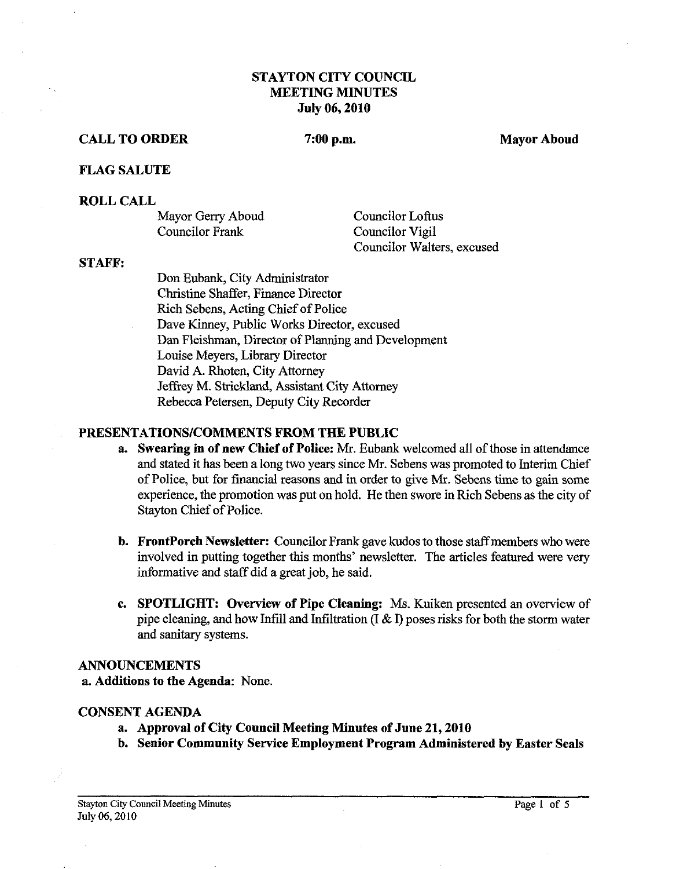# STAYTON CITY COUNCIL MEETING MINUTES July **06,2010**

#### CALL TO ORDER 7:00 p.m. Mayor Aboud

#### FLAG SALUTE

#### ROLL CALL

| Mayor Gerry Aboud | Councilor Loftus           |
|-------------------|----------------------------|
| Councilor Frank   | Councilor Vigil            |
|                   | Councilor Walters, excused |

#### STAFF:

Don Eubank, City Administrator Christine Shaffer, Finance Director Rich Sebens, Acting Chief of Police Dave Kinney, Public Works Director, excused Dan Fleishman, Director of Planning and Development Louise Meyers, Library Director David A. Rhoten, City Attorney Jeffrey M. Strickland, Assistant City Attorney Rebecca Petersen, Deputy City Recorder

#### PRESENTATIONS/COMMENTS FROM THE PUBLIC

- a. Swearing in of new Chief of Police: Mr. Eubank welcomed all of those in attendance and stated it has been a long two years since Mr. Sebens was promoted to Interim Chief of Police, but for financial reasons and in order to give Mr. Sebens time to gain some experience, the promotion was put on hold. He then swore in Rich Sebens as the city of Stayton Chief of Police.
- b. FrontPorch Newsletter: Councilor Frank gave kudos to those staffmembers who were involved in putting together this months' newsletter. The articles featured were very informative and staff did a great job, he said.
- c. SPOTLIGHT: Overview of Pipe Cleaning: Ms. Kuiken presented an overview of **SPOTLIGHT:** Overview of Pipe Cleaning: Ms. Kuiken presented an overview of pipe cleaning, and how Infill and Infiltration (I & I) poses risks for both the storm water and sanitary systems.

#### ANNOUNCEMENTS

a. Additions to the Agenda: None.

#### CONSENT AGENDA

- a. Approval of City Council Meeting Minutes of June **21,2010**
- b. Senior Community Service Employment Program Administered by Easter Seals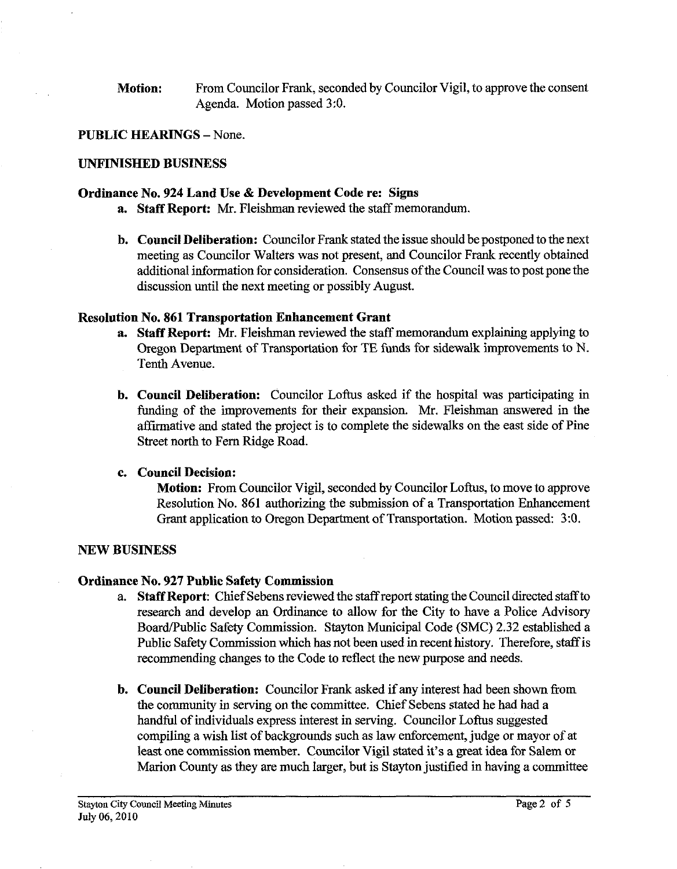**Motion:** From Councilor Frank, seconded by Councilor Vigil, to approve the consent Agenda. Motion passed **3:O.** 

# **PUBLIC HEARINGS** - None.

## **UNFINISHED BUSINESS**

## **Ordinance No. 924 Land Use** & **Development Code re: Signs**

- **a. Staff Report:** Mr. Fleishman reviewed the staff memorandum.
- **b. Council Deliberation:** Councilor Frank stated the issue should be postponed to the next meeting as Councilor Walters was not present, and Councilor Frank recently obtained additional information for consideration. Consensus of the Council was to post pone the discussion until the next meeting or possibly August.

### **Resolution No. 861 Transportation Enhancement Grant**

- **a.** Staff Report: Mr. Fleishman reviewed the staff memorandum explaining applying to Oregon Department of Transportation for TE finds for sidewalk improvements to N. Tenth Avenue.
- **b. Council Deliberation:** Councilor Loftus asked if the hospital was participating in funding of the improvements for their expansion. Mr. Fleishman answered in the affirmative and stated the project is to complete the sidewalks on the east side of Pine Street north to Fern Ridge Road.

# **c. Council Decision:**

**Motion:** From Councilor Vigil, seconded by Councilor Loftus, to move to approve Resolution No. 861 authorizing the submission of a Transportation Enhancement Grant application to Oregon Department of Transportation. Motion passed: 3:0.

# **NEW BUSINESS**

# **Ordinance No. 927 Public Safety Commission**

- a. **Staff Report:** Chief Sebens reviewed the staff report stating the Council directed staffto research and develop an Ordinance to allow for the City to have a Police Advisory BoardPublic Safety Commission. Stayton Municipal Code (SMC) 2.32 established a Public Safety Commission which has not been used in recent history. Therefore, staff is recommending changes to the Code to reflect the new purpose and needs.
- **b. Council Deliberation:** Councilor Frank asked if any interest had been shown from the community in serving on the committee. Chief Sebens stated he had had a handful of individuals express interest in serving. Councilor Loftus suggested compiling a wish list of backgrounds such as law enforcement, judge or mayor of at least one commission member. Councilor Vigil stated it's a great idea for Salem or Marion County as they are much larger, but is Stayton justified in having a committee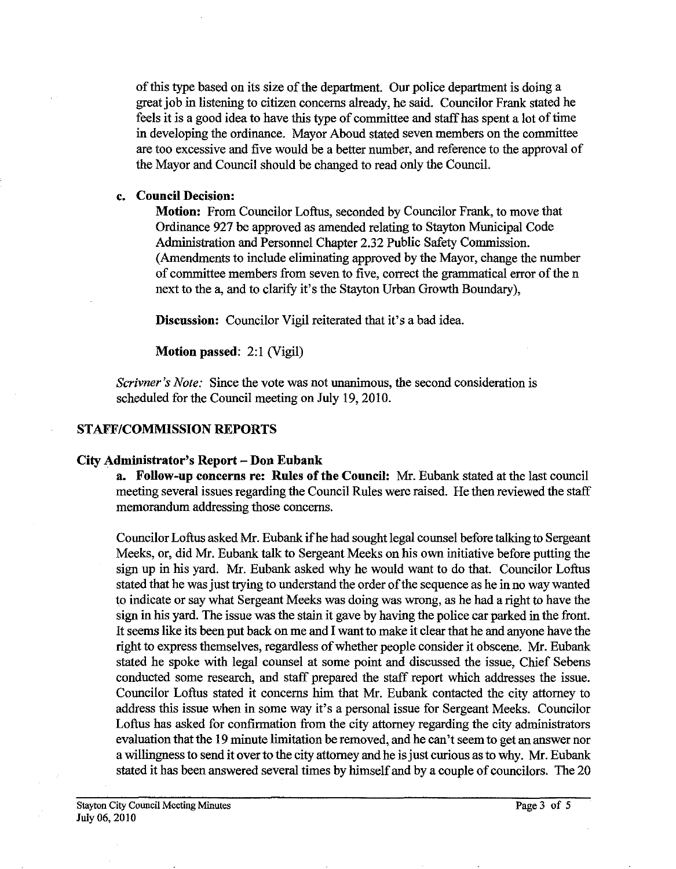of this type based on its size of the department. Our police department is doing a great job in listening to citizen concerns already, he said. Councilor Frank stated he feels it is a good idea to have this type of committee and staff has spent a lot of time in developing the ordinance. Mayor Aboud stated seven members on the committee are too excessive and five would be a better number, and reference to the approval of the Mayor and Council should be changed to read only the Council.

# c. Council Decision:

Motion: From Councilor Loftus, seconded by Councilor Frank, to move that Ordinance 927 be approved as amended relating to Stayton Municipal Code Administration and Personnel Chapter 2.32 Public Safety Commission. (Amendments to include eliminating approved by the Mayor, change the number of committee members from seven to five, correct the grammatical error of the n next to the a, and to clarify it's the Stayton Urban Growth Boundary),

Discussion: Councilor Vigil reiterated that it's a bad idea.

Motion passed: 2:1 (Vigil)

**Scrivner 's** *Note:* Since the vote was not unanimous, the second consideration is scheduled for the Council meeting on July 19,2010.

#### STAFF/COMMISSION REPORTS

#### City Administrator's Report - Don Eubank

a. Follow-up concerns re: Rules of the Council: Mr. Eubank stated at the last council meeting several issues regarding the Council Rules were raised. He then reviewed the staff memorandum addressing those concerns.

Councilor Loftus asked Mr. Eubank if he had sought legal counsel before taking to Sergeant Meeks, or, did Mr. Eubank talk to Sergeant Meeks on his own initiative before putting the sign up in his yard. Mr. Eubank asked why he would want to do that. Councilor Loftus stated that he was just trying to understand the order of the sequence as he in no way wanted to indicate or say what Sergeant Meeks was doing was wrong, as he had a right to have the sign in his yard. The issue was the stain it gave by having the police car parked in the front. It seems like its been put back on me and I want to make it clear that he and anyone have the right to express themselves, regardless of whether people consider it obscene. Mr. Eubank stated he spoke with legal counsel at some point and discussed the issue, Chief Sebens conducted some research, and staff prepared the staff report which addresses the issue. Councilor Loftus stated it concerns him that Mr. Eubank contacted the city attorney to address this issue when in some way it's a personal issue for Sergeant Meeks. Councilor Loftus has asked for confirmation from the city attorney regarding the city administrators evaluation that the 19 minute limitation be removed, and he can't seem to get an answer nor a willingness to send it overto the city attomey and he is just curious as to why. Mr. Eubank stated it has been answered several times by himself and by a couple of councilors. The 20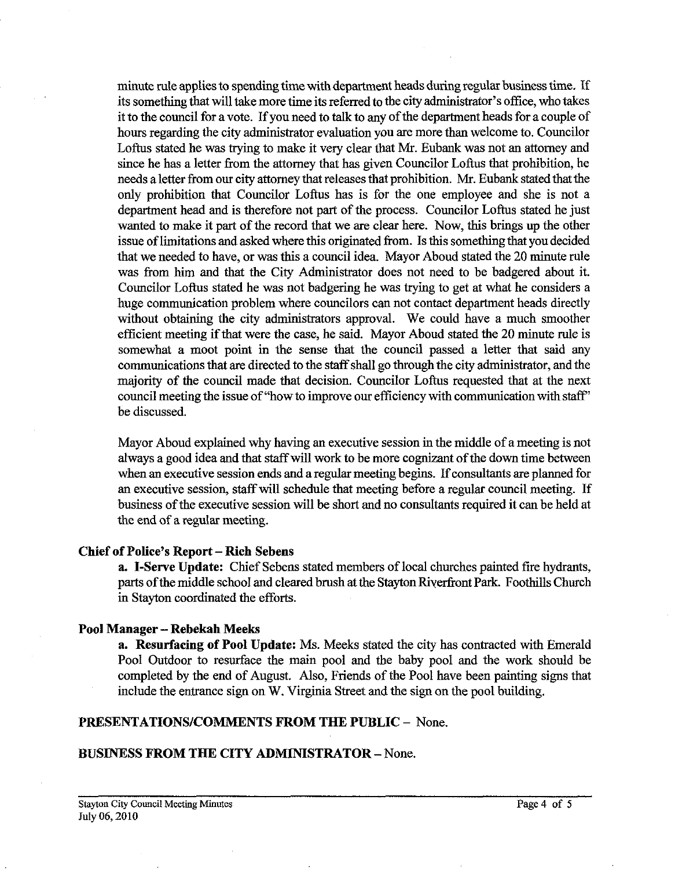minute rule applies to spending time with department heads during regular business time. If its something that will take more time its referred to the city administrator's office, who takes it to the council for a vote. If you need to talk to any of the department heads for a couple of hours regarding the city administrator evaluation you are more than welcome to. Councilor Loftus stated he was trying to make it very clear that Mr. Eubank was not an attorney and since he has a letter from the attorney that has given Councilor Loftus that prohibition, he needs aletter from our city attorney that releases that prohibition. Mr. Eubank stated that the only prohibition that Councilor Loftus has is for the one employee and she is not a department head and is therefore not part of the process. Councilor Loftus stated he just wanted to make it part of the record that we are clear here. Now, this brings up the other issue of limitations and asked where this originated from. Is this something that you decided that we needed to have, or was this a council idea. Mayor Aboud stated the 20 minute rule was from him and that the City Administrator does not need to be badgered about it. Councilor Loftus stated he was not badgering he was trying to get at what he considers a huge communication problem where councilors can not contact department heads directly without obtaining the city administrators approval. We could have a much smoother efficient meeting if that were the case, he said. Mayor Aboud stated the 20 minute rule is somewhat a moot point in the sense that the council passed a letter that said any communications that are directed to the staff shall go through the city administrator, and the majority of the council made that decision. Councilor Loftus requested that at the next council meeting the issue of "how to improve our eficiency with communication with staff' be discussed.

Mayor Aboud explained why having an executive session in the middle of a meeting is not always a good idea and that staff will work to be more cognizant of the down time between when an executive session ends and a regular meeting begins. If consultants are planned for an executive session, staff will schedule that meeting before a regular council meeting. If business of the executive session will be short and no consultants required it can be held at the end of a regular meeting.

# **Chief of Police's Report** - **Rich Sebens**

**a. I-Serve Update:** Chief Sebens stated members of local churches painted fire hydrants, parts of the middle school and cleared brush at the Stayton Riyerfiont Park. Foothills Church in Stayton coordinated the efforts.

# **Pool Manager** - **Rebekah Meeks**

**a. Resurfacing of Pool Update:** Ms. Meeks stated the city has contracted with Emerald Pool Outdoor to resurface the main pool and the baby pool and the work should be completed by the end of August. Also, Friends of the Pool have been painting signs that include the entrance sign on W. Virginia Street and the sign on the pool building.

# **PRESENTATIONSICOMMENTS FROM THE PUBLIC** - None.

# **BUSINESS FROM THE CITY ADMINISTRATOR** - None.